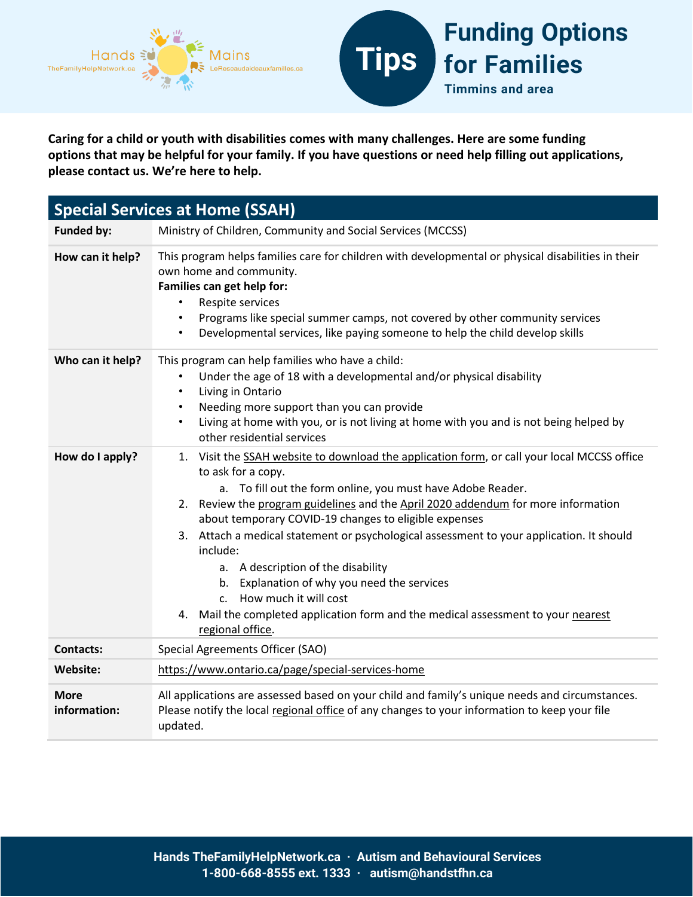

**Caring for a child or youth with disabilities comes with many challenges. Here are some funding options that may be helpful for your family. If you have questions or need help filling out applications, please contact us. We're here to help.** 

| <b>Special Services at Home (SSAH)</b> |                                                                                                                                                                                                                                                                                                                                                                                                                                                                                                                                                                                                                                                                                 |
|----------------------------------------|---------------------------------------------------------------------------------------------------------------------------------------------------------------------------------------------------------------------------------------------------------------------------------------------------------------------------------------------------------------------------------------------------------------------------------------------------------------------------------------------------------------------------------------------------------------------------------------------------------------------------------------------------------------------------------|
| <b>Funded by:</b>                      | Ministry of Children, Community and Social Services (MCCSS)                                                                                                                                                                                                                                                                                                                                                                                                                                                                                                                                                                                                                     |
| How can it help?                       | This program helps families care for children with developmental or physical disabilities in their<br>own home and community.<br>Families can get help for:<br>Respite services<br>$\bullet$<br>Programs like special summer camps, not covered by other community services<br>Developmental services, like paying someone to help the child develop skills<br>$\bullet$                                                                                                                                                                                                                                                                                                        |
| Who can it help?                       | This program can help families who have a child:<br>Under the age of 18 with a developmental and/or physical disability<br>Living in Ontario<br>$\bullet$<br>Needing more support than you can provide<br>$\bullet$<br>Living at home with you, or is not living at home with you and is not being helped by<br>$\bullet$<br>other residential services                                                                                                                                                                                                                                                                                                                         |
| How do I apply?                        | 1. Visit the SSAH website to download the application form, or call your local MCCSS office<br>to ask for a copy.<br>a. To fill out the form online, you must have Adobe Reader.<br>2. Review the program guidelines and the April 2020 addendum for more information<br>about temporary COVID-19 changes to eligible expenses<br>3. Attach a medical statement or psychological assessment to your application. It should<br>include:<br>a. A description of the disability<br>b. Explanation of why you need the services<br>How much it will cost<br>C <sub>1</sub><br>4. Mail the completed application form and the medical assessment to your nearest<br>regional office. |
| <b>Contacts:</b>                       | Special Agreements Officer (SAO)                                                                                                                                                                                                                                                                                                                                                                                                                                                                                                                                                                                                                                                |
| Website:                               | https://www.ontario.ca/page/special-services-home                                                                                                                                                                                                                                                                                                                                                                                                                                                                                                                                                                                                                               |
| <b>More</b><br>information:            | All applications are assessed based on your child and family's unique needs and circumstances.<br>Please notify the local regional office of any changes to your information to keep your file<br>updated.                                                                                                                                                                                                                                                                                                                                                                                                                                                                      |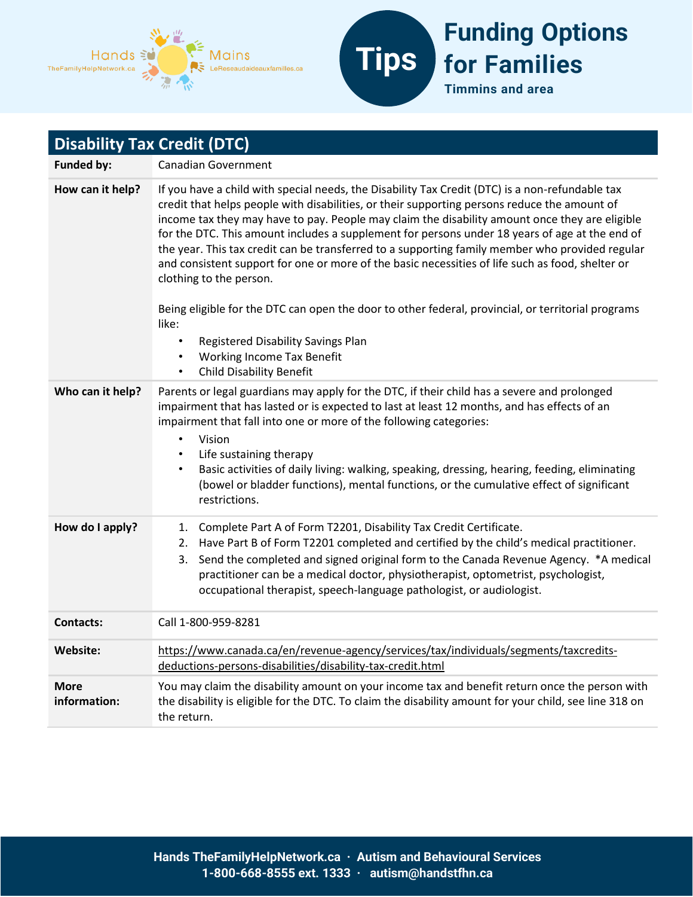



| <b>Disability Tax Credit (DTC)</b> |                                                                                                                                                                                                                                                                                                                                                                                                                                                                                                                                                                                                                                                                                                                                                                                                         |
|------------------------------------|---------------------------------------------------------------------------------------------------------------------------------------------------------------------------------------------------------------------------------------------------------------------------------------------------------------------------------------------------------------------------------------------------------------------------------------------------------------------------------------------------------------------------------------------------------------------------------------------------------------------------------------------------------------------------------------------------------------------------------------------------------------------------------------------------------|
| <b>Funded by:</b>                  | <b>Canadian Government</b>                                                                                                                                                                                                                                                                                                                                                                                                                                                                                                                                                                                                                                                                                                                                                                              |
| How can it help?                   | If you have a child with special needs, the Disability Tax Credit (DTC) is a non-refundable tax<br>credit that helps people with disabilities, or their supporting persons reduce the amount of<br>income tax they may have to pay. People may claim the disability amount once they are eligible<br>for the DTC. This amount includes a supplement for persons under 18 years of age at the end of<br>the year. This tax credit can be transferred to a supporting family member who provided regular<br>and consistent support for one or more of the basic necessities of life such as food, shelter or<br>clothing to the person.<br>Being eligible for the DTC can open the door to other federal, provincial, or territorial programs<br>like:<br>Registered Disability Savings Plan<br>$\bullet$ |
|                                    | <b>Working Income Tax Benefit</b><br><b>Child Disability Benefit</b><br>$\bullet$                                                                                                                                                                                                                                                                                                                                                                                                                                                                                                                                                                                                                                                                                                                       |
| Who can it help?                   | Parents or legal guardians may apply for the DTC, if their child has a severe and prolonged<br>impairment that has lasted or is expected to last at least 12 months, and has effects of an<br>impairment that fall into one or more of the following categories:<br>Vision<br>$\bullet$<br>Life sustaining therapy<br>$\bullet$<br>Basic activities of daily living: walking, speaking, dressing, hearing, feeding, eliminating<br>$\bullet$<br>(bowel or bladder functions), mental functions, or the cumulative effect of significant<br>restrictions.                                                                                                                                                                                                                                                |
| How do I apply?                    | Complete Part A of Form T2201, Disability Tax Credit Certificate.<br>1.<br>Have Part B of Form T2201 completed and certified by the child's medical practitioner.<br>2.<br>Send the completed and signed original form to the Canada Revenue Agency. *A medical<br>3.<br>practitioner can be a medical doctor, physiotherapist, optometrist, psychologist,<br>occupational therapist, speech-language pathologist, or audiologist.                                                                                                                                                                                                                                                                                                                                                                      |
| <b>Contacts:</b>                   | Call 1-800-959-8281                                                                                                                                                                                                                                                                                                                                                                                                                                                                                                                                                                                                                                                                                                                                                                                     |
| Website:                           | https://www.canada.ca/en/revenue-agency/services/tax/individuals/segments/taxcredits-<br>deductions-persons-disabilities/disability-tax-credit.html                                                                                                                                                                                                                                                                                                                                                                                                                                                                                                                                                                                                                                                     |
| <b>More</b><br>information:        | You may claim the disability amount on your income tax and benefit return once the person with<br>the disability is eligible for the DTC. To claim the disability amount for your child, see line 318 on<br>the return.                                                                                                                                                                                                                                                                                                                                                                                                                                                                                                                                                                                 |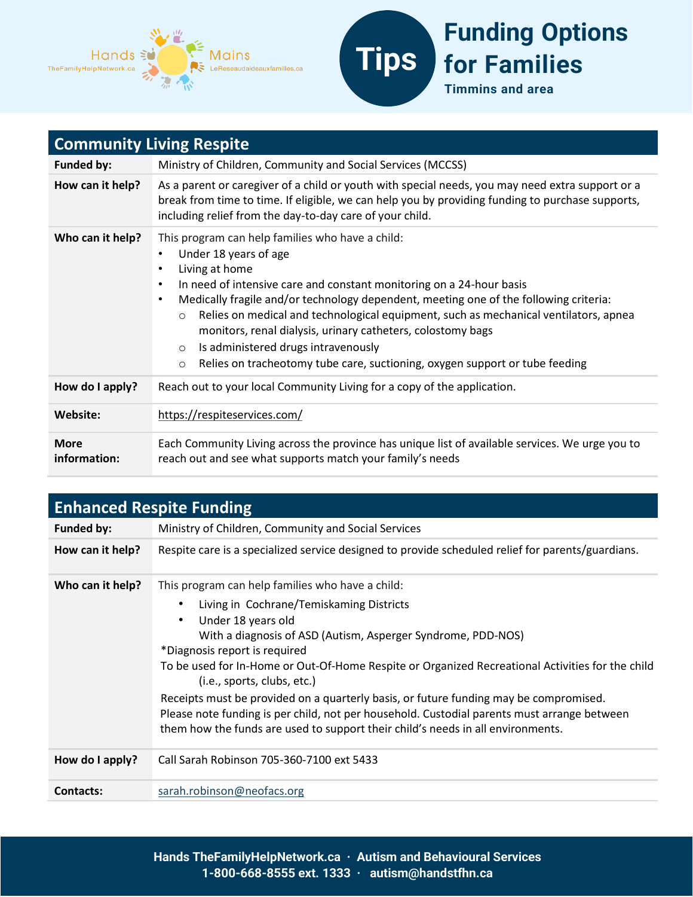



| <b>Community Living Respite</b> |                                                                                                                                                                                                                                                                                                                                                                                                                                                                                                                                                                                                                   |  |
|---------------------------------|-------------------------------------------------------------------------------------------------------------------------------------------------------------------------------------------------------------------------------------------------------------------------------------------------------------------------------------------------------------------------------------------------------------------------------------------------------------------------------------------------------------------------------------------------------------------------------------------------------------------|--|
| <b>Funded by:</b>               | Ministry of Children, Community and Social Services (MCCSS)                                                                                                                                                                                                                                                                                                                                                                                                                                                                                                                                                       |  |
| How can it help?                | As a parent or caregiver of a child or youth with special needs, you may need extra support or a<br>break from time to time. If eligible, we can help you by providing funding to purchase supports,<br>including relief from the day-to-day care of your child.                                                                                                                                                                                                                                                                                                                                                  |  |
| Who can it help?                | This program can help families who have a child:<br>Under 18 years of age<br>Living at home<br>$\bullet$<br>In need of intensive care and constant monitoring on a 24-hour basis<br>$\bullet$<br>Medically fragile and/or technology dependent, meeting one of the following criteria:<br>$\bullet$<br>Relies on medical and technological equipment, such as mechanical ventilators, apnea<br>$\circ$<br>monitors, renal dialysis, urinary catheters, colostomy bags<br>Is administered drugs intravenously<br>$\circ$<br>Relies on tracheotomy tube care, suctioning, oxygen support or tube feeding<br>$\circ$ |  |
| How do I apply?                 | Reach out to your local Community Living for a copy of the application.                                                                                                                                                                                                                                                                                                                                                                                                                                                                                                                                           |  |
| Website:                        | https://respiteservices.com/                                                                                                                                                                                                                                                                                                                                                                                                                                                                                                                                                                                      |  |
| <b>More</b><br>information:     | Each Community Living across the province has unique list of available services. We urge you to<br>reach out and see what supports match your family's needs                                                                                                                                                                                                                                                                                                                                                                                                                                                      |  |

| <b>Enhanced Respite Funding</b> |                                                                                                                                                                                                                                                                                                                                                                                                                                                                                                                                                                                                                                   |
|---------------------------------|-----------------------------------------------------------------------------------------------------------------------------------------------------------------------------------------------------------------------------------------------------------------------------------------------------------------------------------------------------------------------------------------------------------------------------------------------------------------------------------------------------------------------------------------------------------------------------------------------------------------------------------|
| <b>Funded by:</b>               | Ministry of Children, Community and Social Services                                                                                                                                                                                                                                                                                                                                                                                                                                                                                                                                                                               |
| How can it help?                | Respite care is a specialized service designed to provide scheduled relief for parents/guardians.                                                                                                                                                                                                                                                                                                                                                                                                                                                                                                                                 |
| Who can it help?                | This program can help families who have a child:<br>Living in Cochrane/Temiskaming Districts<br>Under 18 years old<br>With a diagnosis of ASD (Autism, Asperger Syndrome, PDD-NOS)<br>*Diagnosis report is required<br>To be used for In-Home or Out-Of-Home Respite or Organized Recreational Activities for the child<br>(i.e., sports, clubs, etc.)<br>Receipts must be provided on a quarterly basis, or future funding may be compromised.<br>Please note funding is per child, not per household. Custodial parents must arrange between<br>them how the funds are used to support their child's needs in all environments. |
| How do I apply?                 | Call Sarah Robinson 705-360-7100 ext 5433                                                                                                                                                                                                                                                                                                                                                                                                                                                                                                                                                                                         |
| <b>Contacts:</b>                | sarah.robinson@neofacs.org                                                                                                                                                                                                                                                                                                                                                                                                                                                                                                                                                                                                        |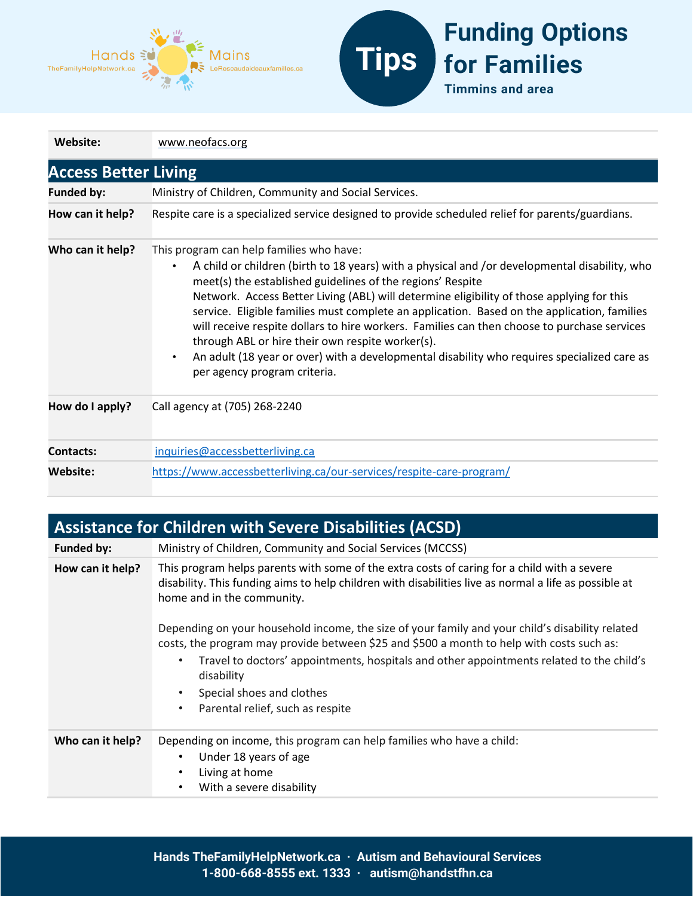



| Website:                    | www.neofacs.org                                                                                                                                                                                                                                                                                                                                                                                                                                                                                                                                                                                                                                                                                    |  |
|-----------------------------|----------------------------------------------------------------------------------------------------------------------------------------------------------------------------------------------------------------------------------------------------------------------------------------------------------------------------------------------------------------------------------------------------------------------------------------------------------------------------------------------------------------------------------------------------------------------------------------------------------------------------------------------------------------------------------------------------|--|
| <b>Access Better Living</b> |                                                                                                                                                                                                                                                                                                                                                                                                                                                                                                                                                                                                                                                                                                    |  |
| <b>Funded by:</b>           | Ministry of Children, Community and Social Services.                                                                                                                                                                                                                                                                                                                                                                                                                                                                                                                                                                                                                                               |  |
| How can it help?            | Respite care is a specialized service designed to provide scheduled relief for parents/guardians.                                                                                                                                                                                                                                                                                                                                                                                                                                                                                                                                                                                                  |  |
| Who can it help?            | This program can help families who have:<br>A child or children (birth to 18 years) with a physical and /or developmental disability, who<br>$\bullet$<br>meet(s) the established guidelines of the regions' Respite<br>Network. Access Better Living (ABL) will determine eligibility of those applying for this<br>service. Eligible families must complete an application. Based on the application, families<br>will receive respite dollars to hire workers. Families can then choose to purchase services<br>through ABL or hire their own respite worker(s).<br>An adult (18 year or over) with a developmental disability who requires specialized care as<br>per agency program criteria. |  |
| How do I apply?             | Call agency at (705) 268-2240                                                                                                                                                                                                                                                                                                                                                                                                                                                                                                                                                                                                                                                                      |  |
| <b>Contacts:</b>            | inquiries@accessbetterliving.ca                                                                                                                                                                                                                                                                                                                                                                                                                                                                                                                                                                                                                                                                    |  |
| Website:                    | https://www.accessbetterliving.ca/our-services/respite-care-program/                                                                                                                                                                                                                                                                                                                                                                                                                                                                                                                                                                                                                               |  |

| <b>Assistance for Children with Severe Disabilities (ACSD)</b> |                                                                                                                                                                                                                                                                                                                                                                                                                                                                                                                                                                                                                              |  |
|----------------------------------------------------------------|------------------------------------------------------------------------------------------------------------------------------------------------------------------------------------------------------------------------------------------------------------------------------------------------------------------------------------------------------------------------------------------------------------------------------------------------------------------------------------------------------------------------------------------------------------------------------------------------------------------------------|--|
| Funded by:                                                     | Ministry of Children, Community and Social Services (MCCSS)                                                                                                                                                                                                                                                                                                                                                                                                                                                                                                                                                                  |  |
| How can it help?                                               | This program helps parents with some of the extra costs of caring for a child with a severe<br>disability. This funding aims to help children with disabilities live as normal a life as possible at<br>home and in the community.<br>Depending on your household income, the size of your family and your child's disability related<br>costs, the program may provide between \$25 and \$500 a month to help with costs such as:<br>Travel to doctors' appointments, hospitals and other appointments related to the child's<br>٠<br>disability<br>Special shoes and clothes<br>٠<br>Parental relief, such as respite<br>٠ |  |
|                                                                |                                                                                                                                                                                                                                                                                                                                                                                                                                                                                                                                                                                                                              |  |
| Who can it help?                                               | Depending on income, this program can help families who have a child:<br>Under 18 years of age<br>٠<br>Living at home<br>٠<br>With a severe disability<br>٠                                                                                                                                                                                                                                                                                                                                                                                                                                                                  |  |